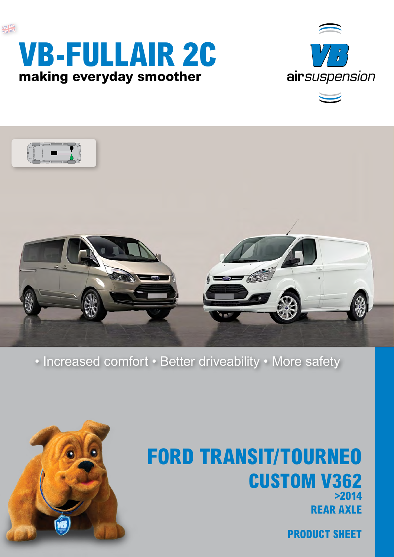

## **rear axle FORD TRANSIT/tourneo Custom V362 >2014**